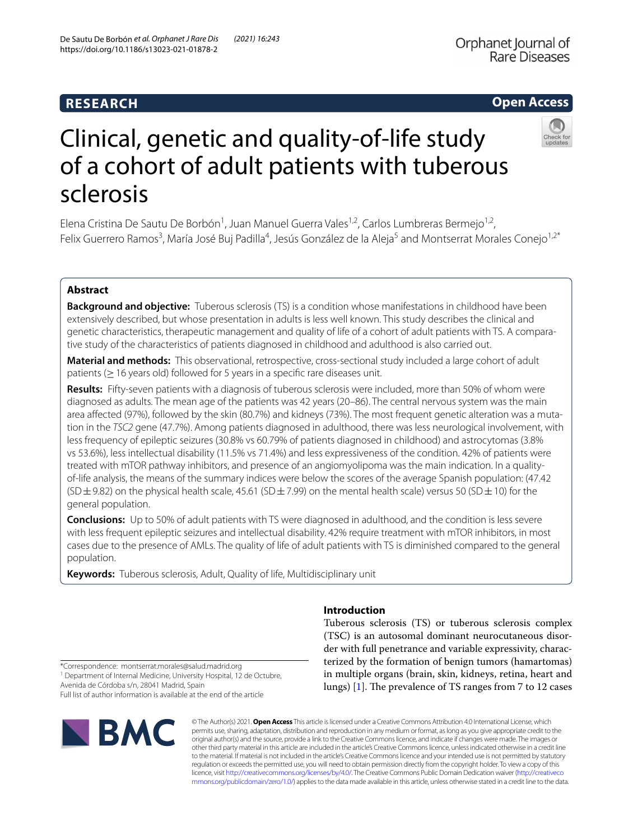# **RESEARCH**

# **Open Access**



# Clinical, genetic and quality-of-life study of a cohort of adult patients with tuberous sclerosis

Elena Cristina De Sautu De Borbón<sup>1</sup>, Juan Manuel Guerra Vales<sup>1,2</sup>, Carlos Lumbreras Bermejo<sup>1,2</sup>, Felix Guerrero Ramos<sup>3</sup>, María José Buj Padilla<sup>4</sup>, Jesús González de la Aleja<sup>5</sup> and Montserrat Morales Conejo<sup>1,2\*</sup>

# **Abstract**

**Background and objective:** Tuberous sclerosis (TS) is a condition whose manifestations in childhood have been extensively described, but whose presentation in adults is less well known. This study describes the clinical and genetic characteristics, therapeutic management and quality of life of a cohort of adult patients with TS. A comparative study of the characteristics of patients diagnosed in childhood and adulthood is also carried out.

**Material and methods:** This observational, retrospective, cross-sectional study included a large cohort of adult patients ( $\geq$  16 years old) followed for 5 years in a specific rare diseases unit.

**Results:** Fifty-seven patients with a diagnosis of tuberous sclerosis were included, more than 50% of whom were diagnosed as adults. The mean age of the patients was 42 years (20–86). The central nervous system was the main area afected (97%), followed by the skin (80.7%) and kidneys (73%). The most frequent genetic alteration was a mutation in the *TSC2* gene (47.7%). Among patients diagnosed in adulthood, there was less neurological involvement, with less frequency of epileptic seizures (30.8% vs 60.79% of patients diagnosed in childhood) and astrocytomas (3.8% vs 53.6%), less intellectual disability (11.5% vs 71.4%) and less expressiveness of the condition. 42% of patients were treated with mTOR pathway inhibitors, and presence of an angiomyolipoma was the main indication. In a qualityof-life analysis, the means of the summary indices were below the scores of the average Spanish population: (47.42 (SD $\pm$ 9.82) on the physical health scale, 45.61 (SD $\pm$ 7.99) on the mental health scale) versus 50 (SD $\pm$ 10) for the general population.

**Conclusions:** Up to 50% of adult patients with TS were diagnosed in adulthood, and the condition is less severe with less frequent epileptic seizures and intellectual disability. 42% require treatment with mTOR inhibitors, in most cases due to the presence of AMLs. The quality of life of adult patients with TS is diminished compared to the general population.

**Keywords:** Tuberous sclerosis, Adult, Quality of life, Multidisciplinary unit

# **Introduction**

Tuberous sclerosis (TS) or tuberous sclerosis complex (TSC) is an autosomal dominant neurocutaneous disorder with full penetrance and variable expressivity, characterized by the formation of benign tumors (hamartomas) in multiple organs (brain, skin, kidneys, retina, heart and lungs)  $[1]$  $[1]$ . The prevalence of TS ranges from 7 to 12 cases

\*Correspondence: montserrat.morales@salud.madrid.org <sup>1</sup> Department of Internal Medicine, University Hospital, 12 de Octubre,

Avenida de Córdoba s/n, 28041 Madrid, Spain Full list of author information is available at the end of the article



© The Author(s) 2021. **Open Access** This article is licensed under a Creative Commons Attribution 4.0 International License, which permits use, sharing, adaptation, distribution and reproduction in any medium or format, as long as you give appropriate credit to the original author(s) and the source, provide a link to the Creative Commons licence, and indicate if changes were made. The images or other third party material in this article are included in the article's Creative Commons licence, unless indicated otherwise in a credit line to the material. If material is not included in the article's Creative Commons licence and your intended use is not permitted by statutory regulation or exceeds the permitted use, you will need to obtain permission directly from the copyright holder. To view a copy of this licence, visit [http://creativecommons.org/licenses/by/4.0/.](http://creativecommons.org/licenses/by/4.0/) The Creative Commons Public Domain Dedication waiver ([http://creativeco](http://creativecommons.org/publicdomain/zero/1.0/) [mmons.org/publicdomain/zero/1.0/](http://creativecommons.org/publicdomain/zero/1.0/)) applies to the data made available in this article, unless otherwise stated in a credit line to the data.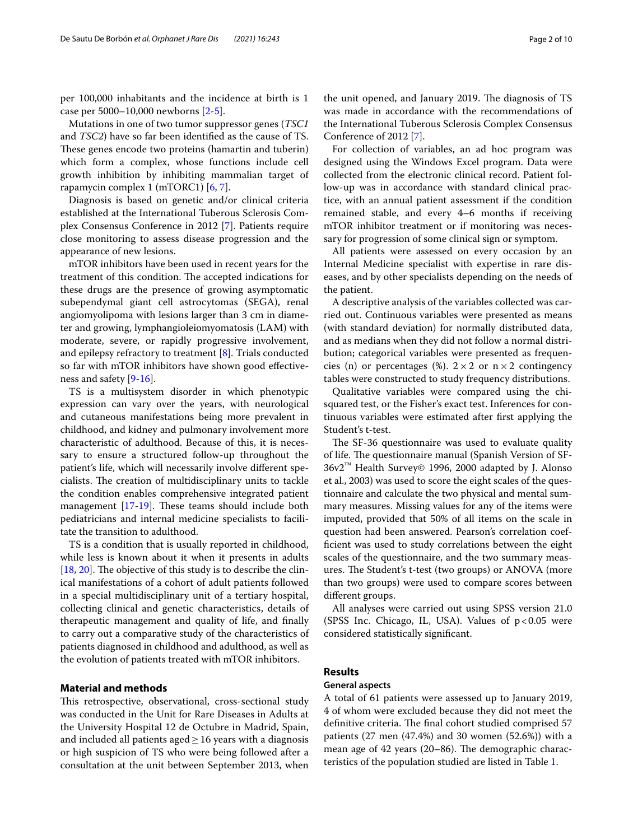per 100,000 inhabitants and the incidence at birth is 1 case per 5000–10,000 newborns [\[2](#page-9-1)-[5\]](#page-9-2).

Mutations in one of two tumor suppressor genes (*TSC1* and *TSC2*) have so far been identifed as the cause of TS. These genes encode two proteins (hamartin and tuberin) which form a complex, whose functions include cell growth inhibition by inhibiting mammalian target of rapamycin complex 1 (mTORC1) [\[6](#page-9-3), [7\]](#page-9-4).

Diagnosis is based on genetic and/or clinical criteria established at the International Tuberous Sclerosis Complex Consensus Conference in 2012 [[7](#page-9-4)]. Patients require close monitoring to assess disease progression and the appearance of new lesions.

mTOR inhibitors have been used in recent years for the treatment of this condition. The accepted indications for these drugs are the presence of growing asymptomatic subependymal giant cell astrocytomas (SEGA), renal angiomyolipoma with lesions larger than 3 cm in diameter and growing, lymphangioleiomyomatosis (LAM) with moderate, severe, or rapidly progressive involvement, and epilepsy refractory to treatment [\[8](#page-9-5)]. Trials conducted so far with mTOR inhibitors have shown good efectiveness and safety [[9](#page-9-6)[-16](#page-9-7)].

TS is a multisystem disorder in which phenotypic expression can vary over the years, with neurological and cutaneous manifestations being more prevalent in childhood, and kidney and pulmonary involvement more characteristic of adulthood. Because of this, it is necessary to ensure a structured follow-up throughout the patient's life, which will necessarily involve diferent specialists. The creation of multidisciplinary units to tackle the condition enables comprehensive integrated patient management  $[17-19]$  $[17-19]$  $[17-19]$ . These teams should include both pediatricians and internal medicine specialists to facilitate the transition to adulthood.

TS is a condition that is usually reported in childhood, while less is known about it when it presents in adults  $[18, 20]$  $[18, 20]$  $[18, 20]$  $[18, 20]$ . The objective of this study is to describe the clinical manifestations of a cohort of adult patients followed in a special multidisciplinary unit of a tertiary hospital, collecting clinical and genetic characteristics, details of therapeutic management and quality of life, and fnally to carry out a comparative study of the characteristics of patients diagnosed in childhood and adulthood, as well as the evolution of patients treated with mTOR inhibitors.

# **Material and methods**

This retrospective, observational, cross-sectional study was conducted in the Unit for Rare Diseases in Adults at the University Hospital 12 de Octubre in Madrid, Spain, and included all patients aged  $\geq$  16 years with a diagnosis or high suspicion of TS who were being followed after a consultation at the unit between September 2013, when the unit opened, and January 2019. The diagnosis of TS was made in accordance with the recommendations of the International Tuberous Sclerosis Complex Consensus Conference of 2012 [[7\]](#page-9-4).

For collection of variables, an ad hoc program was designed using the Windows Excel program. Data were collected from the electronic clinical record. Patient follow-up was in accordance with standard clinical practice, with an annual patient assessment if the condition remained stable, and every 4–6 months if receiving mTOR inhibitor treatment or if monitoring was necessary for progression of some clinical sign or symptom.

All patients were assessed on every occasion by an Internal Medicine specialist with expertise in rare diseases, and by other specialists depending on the needs of the patient.

A descriptive analysis of the variables collected was carried out. Continuous variables were presented as means (with standard deviation) for normally distributed data, and as medians when they did not follow a normal distribution; categorical variables were presented as frequencies (n) or percentages (%).  $2 \times 2$  or  $n \times 2$  contingency tables were constructed to study frequency distributions.

Qualitative variables were compared using the chisquared test, or the Fisher's exact test. Inferences for continuous variables were estimated after frst applying the Student's t-test.

The SF-36 questionnaire was used to evaluate quality of life. The questionnaire manual (Spanish Version of SF-36v2™ Health Survey© 1996, 2000 adapted by J. Alonso et al., 2003) was used to score the eight scales of the questionnaire and calculate the two physical and mental summary measures. Missing values for any of the items were imputed, provided that 50% of all items on the scale in question had been answered. Pearson's correlation coeffcient was used to study correlations between the eight scales of the questionnaire, and the two summary measures. The Student's t-test (two groups) or ANOVA (more than two groups) were used to compare scores between diferent groups.

All analyses were carried out using SPSS version 21.0 (SPSS Inc. Chicago, IL, USA). Values of  $p < 0.05$  were considered statistically signifcant.

## **Results**

#### **General aspects**

A total of 61 patients were assessed up to January 2019, 4 of whom were excluded because they did not meet the definitive criteria. The final cohort studied comprised 57 patients (27 men (47.4%) and 30 women (52.6%)) with a mean age of  $42$  years  $(20–86)$ . The demographic characteristics of the population studied are listed in Table [1](#page-2-0).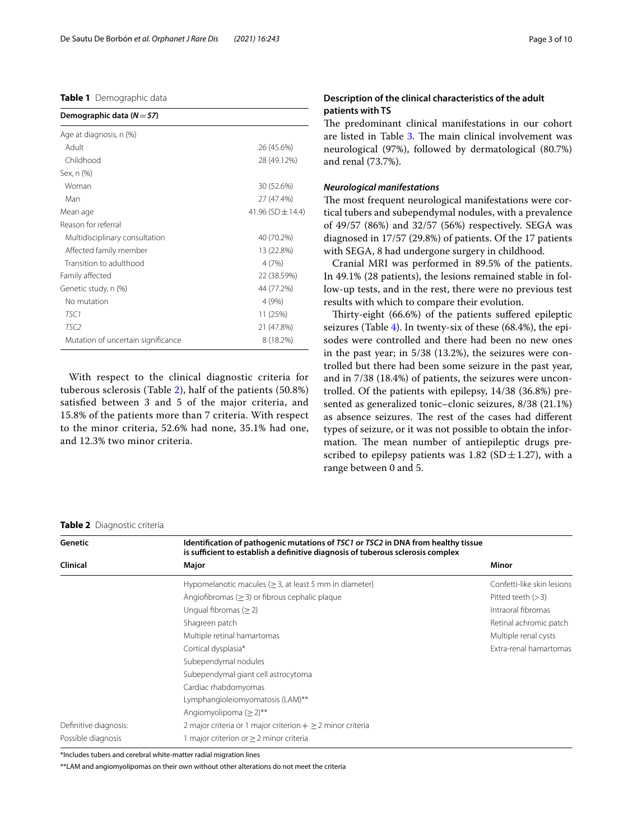## <span id="page-2-0"></span>**Table 1** Demographic data

| Demographic data ( $N = 57$ )      |                       |
|------------------------------------|-----------------------|
| Age at diagnosis, n (%)            |                       |
| Adult                              | 26 (45.6%)            |
| Childhood                          | 28 (49.12%)           |
| Sex, n (%)                         |                       |
| Woman                              | 30 (52.6%)            |
| Man                                | 27 (47.4%)            |
| Mean age                           | 41.96 (SD $\pm$ 14.4) |
| Reason for referral                |                       |
| Multidisciplinary consultation     | 40 (70.2%)            |
| Affected family member             | 13 (22.8%)            |
| Transition to adulthood            | 4 (7%)                |
| Family affected                    | 22 (38.59%)           |
| Genetic study, n (%)               | 44 (77.2%)            |
| No mutation                        | 4 (9%)                |
| TSC1                               | 11 (25%)              |
| TSC <sub>2</sub>                   | 21 (47.8%)            |
| Mutation of uncertain significance | 8 (18.2%)             |

With respect to the clinical diagnostic criteria for tuberous sclerosis (Table [2](#page-2-1)), half of the patients (50.8%) satisfed between 3 and 5 of the major criteria, and 15.8% of the patients more than 7 criteria. With respect to the minor criteria, 52.6% had none, 35.1% had one, and 12.3% two minor criteria.

# **Description of the clinical characteristics of the adult patients with TS**

The predominant clinical manifestations in our cohort are listed in Table [3](#page-3-0). The main clinical involvement was neurological (97%), followed by dermatological (80.7%) and renal (73.7%).

#### *Neurological manifestations*

The most frequent neurological manifestations were cortical tubers and subependymal nodules, with a prevalence of 49/57 (86%) and 32/57 (56%) respectively. SEGA was diagnosed in 17/57 (29.8%) of patients. Of the 17 patients with SEGA, 8 had undergone surgery in childhood.

Cranial MRI was performed in 89.5% of the patients. In 49.1% (28 patients), the lesions remained stable in follow-up tests, and in the rest, there were no previous test results with which to compare their evolution.

Thirty-eight (66.6%) of the patients suffered epileptic seizures (Table [4\)](#page-3-1). In twenty-six of these (68.4%), the episodes were controlled and there had been no new ones in the past year; in 5/38 (13.2%), the seizures were controlled but there had been some seizure in the past year, and in 7/38 (18.4%) of patients, the seizures were uncontrolled. Of the patients with epilepsy, 14/38 (36.8%) presented as generalized tonic–clonic seizures, 8/38 (21.1%) as absence seizures. The rest of the cases had different types of seizure, or it was not possible to obtain the information. The mean number of antiepileptic drugs prescribed to epilepsy patients was 1.82 (SD $\pm$ 1.27), with a range between 0 and 5.

#### <span id="page-2-1"></span>**Table 2** Diagnostic criteria

| Genetic               | Identification of pathogenic mutations of TSC1 or TSC2 in DNA from healthy tissue<br>is sufficient to establish a definitive diagnosis of tuberous sclerosis complex |                            |
|-----------------------|----------------------------------------------------------------------------------------------------------------------------------------------------------------------|----------------------------|
| Clinical              | Major                                                                                                                                                                | Minor                      |
|                       | Hypomelanotic macules ( $\geq$ 3, at least 5 mm in diameter)                                                                                                         | Confetti-like skin lesions |
|                       | Angiofibromas ( $\geq$ 3) or fibrous cephalic plaque                                                                                                                 | Pitted teeth $(>3)$        |
|                       | Unqual fibromas ( $\geq$ 2)                                                                                                                                          | Intraoral fibromas         |
|                       | Shagreen patch                                                                                                                                                       | Retinal achromic patch     |
|                       | Multiple retinal hamartomas                                                                                                                                          | Multiple renal cysts       |
|                       | Cortical dysplasia*                                                                                                                                                  | Extra-renal hamartomas     |
|                       | Subependymal nodules                                                                                                                                                 |                            |
|                       | Subependymal giant cell astrocytoma                                                                                                                                  |                            |
|                       | Cardiac rhabdomyomas                                                                                                                                                 |                            |
|                       | Lymphangioleiomyomatosis (LAM)**                                                                                                                                     |                            |
|                       | Angiomyolipoma ( $\geq$ 2) <sup>**</sup>                                                                                                                             |                            |
| Definitive diagnosis: | 2 major criteria or 1 major criterion $+ \geq 2$ minor criteria                                                                                                      |                            |
| Possible diagnosis    | I major criterion or $\geq 2$ minor criteria                                                                                                                         |                            |

\*Includes tubers and cerebral white-matter radial migration lines

\*\*LAM and angiomyolipomas on their own without other alterations do not meet the criteria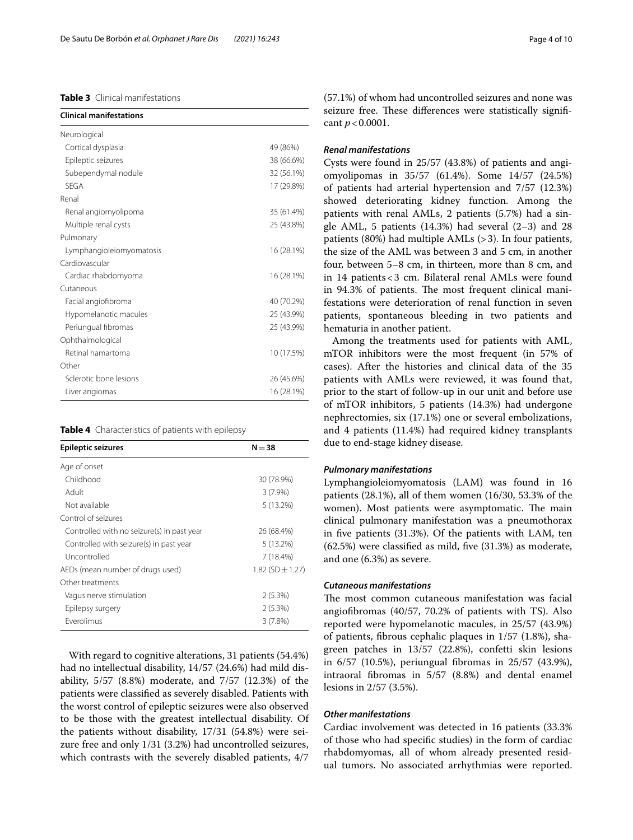# <span id="page-3-0"></span>**Table 3** Clinical manifestations

| Neurological<br>Cortical dysplasia<br>Epileptic seizures<br>Subependymal nodule<br><b>SEGA</b><br>Renal<br>Renal angiomyolipoma<br>Multiple renal cysts<br>Pulmonary<br>Lymphangioleiomyomatosis<br>Cardiovascular<br>Cardiac rhabdomyoma<br>Cutaneous<br>Facial angiofibroma<br>Hypomelanotic macules<br>Periungual fibromas<br>Ophthalmological<br>Retinal hamartoma<br>Other<br>Sclerotic bone lesions | <b>Clinical manifestations</b> |            |
|-----------------------------------------------------------------------------------------------------------------------------------------------------------------------------------------------------------------------------------------------------------------------------------------------------------------------------------------------------------------------------------------------------------|--------------------------------|------------|
|                                                                                                                                                                                                                                                                                                                                                                                                           |                                |            |
|                                                                                                                                                                                                                                                                                                                                                                                                           |                                | 49 (86%)   |
|                                                                                                                                                                                                                                                                                                                                                                                                           |                                | 38 (66.6%) |
|                                                                                                                                                                                                                                                                                                                                                                                                           |                                | 32 (56.1%) |
|                                                                                                                                                                                                                                                                                                                                                                                                           |                                | 17 (29.8%) |
|                                                                                                                                                                                                                                                                                                                                                                                                           |                                |            |
|                                                                                                                                                                                                                                                                                                                                                                                                           |                                | 35 (61.4%) |
|                                                                                                                                                                                                                                                                                                                                                                                                           |                                | 25 (43.8%) |
|                                                                                                                                                                                                                                                                                                                                                                                                           |                                |            |
|                                                                                                                                                                                                                                                                                                                                                                                                           |                                | 16 (28.1%) |
|                                                                                                                                                                                                                                                                                                                                                                                                           |                                |            |
|                                                                                                                                                                                                                                                                                                                                                                                                           |                                | 16 (28.1%) |
|                                                                                                                                                                                                                                                                                                                                                                                                           |                                |            |
|                                                                                                                                                                                                                                                                                                                                                                                                           |                                | 40 (70.2%) |
|                                                                                                                                                                                                                                                                                                                                                                                                           |                                | 25 (43.9%) |
|                                                                                                                                                                                                                                                                                                                                                                                                           |                                | 25 (43.9%) |
|                                                                                                                                                                                                                                                                                                                                                                                                           |                                |            |
|                                                                                                                                                                                                                                                                                                                                                                                                           |                                | 10 (17.5%) |
|                                                                                                                                                                                                                                                                                                                                                                                                           |                                |            |
|                                                                                                                                                                                                                                                                                                                                                                                                           |                                | 26 (45.6%) |
| Liver angiomas                                                                                                                                                                                                                                                                                                                                                                                            |                                | 16 (28.1%) |

<span id="page-3-1"></span>

| <b>Epileptic seizures</b>                  | $N = 38$             |
|--------------------------------------------|----------------------|
| Age of onset                               |                      |
| Childhood                                  | 30 (78.9%)           |
| Adult                                      | $3(7.9\%)$           |
| Not available                              | $5(13.2\%)$          |
| Control of seizures                        |                      |
| Controlled with no seizure(s) in past year | 26 (68.4%)           |
| Controlled with seizure(s) in past year    | $5(13.2\%)$          |
| Uncontrolled                               | $7(18.4\%)$          |
| AEDs (mean number of drugs used)           | 1.82 (SD $\pm$ 1.27) |
| Other treatments                           |                      |
| Vagus nerve stimulation                    | 2(5.3%)              |
| Epilepsy surgery                           | 2(5.3%)              |
| <b>Fverolimus</b>                          | 3(7.8%)              |

With regard to cognitive alterations, 31 patients (54.4%) had no intellectual disability, 14/57 (24.6%) had mild disability, 5/57 (8.8%) moderate, and 7/57 (12.3%) of the patients were classifed as severely disabled. Patients with the worst control of epileptic seizures were also observed to be those with the greatest intellectual disability. Of the patients without disability, 17/31 (54.8%) were seizure free and only 1/31 (3.2%) had uncontrolled seizures, which contrasts with the severely disabled patients, 4/7 (57.1%) of whom had uncontrolled seizures and none was seizure free. These differences were statistically significant *p*<0.0001.

#### *Renal manifestations*

Cysts were found in 25/57 (43.8%) of patients and angiomyolipomas in 35/57 (61.4%). Some 14/57 (24.5%) of patients had arterial hypertension and 7/57 (12.3%) showed deteriorating kidney function. Among the patients with renal AMLs, 2 patients (5.7%) had a single AML, 5 patients (14.3%) had several (2–3) and 28 patients (80%) had multiple AMLs (>3). In four patients, the size of the AML was between 3 and 5 cm, in another four, between 5–8 cm, in thirteen, more than 8 cm, and in 14 patients<3 cm. Bilateral renal AMLs were found in 94.3% of patients. The most frequent clinical manifestations were deterioration of renal function in seven patients, spontaneous bleeding in two patients and hematuria in another patient.

Among the treatments used for patients with AML, mTOR inhibitors were the most frequent (in 57% of cases). After the histories and clinical data of the 35 patients with AMLs were reviewed, it was found that, prior to the start of follow-up in our unit and before use of mTOR inhibitors, 5 patients (14.3%) had undergone nephrectomies, six (17.1%) one or several embolizations, and 4 patients (11.4%) had required kidney transplants due to end-stage kidney disease.

#### *Pulmonary manifestations*

Lymphangioleiomyomatosis (LAM) was found in 16 patients (28.1%), all of them women (16/30, 53.3% of the women). Most patients were asymptomatic. The main clinical pulmonary manifestation was a pneumothorax in fve patients (31.3%). Of the patients with LAM, ten (62.5%) were classifed as mild, fve (31.3%) as moderate, and one (6.3%) as severe.

# *Cutaneous manifestations*

The most common cutaneous manifestation was facial angiofbromas (40/57, 70.2% of patients with TS). Also reported were hypomelanotic macules, in 25/57 (43.9%) of patients, fbrous cephalic plaques in 1/57 (1.8%), shagreen patches in 13/57 (22.8%), confetti skin lesions in 6/57 (10.5%), periungual fbromas in 25/57 (43.9%), intraoral fbromas in 5/57 (8.8%) and dental enamel lesions in 2/57 (3.5%).

## *Other manifestations*

Cardiac involvement was detected in 16 patients (33.3% of those who had specifc studies) in the form of cardiac rhabdomyomas, all of whom already presented residual tumors. No associated arrhythmias were reported.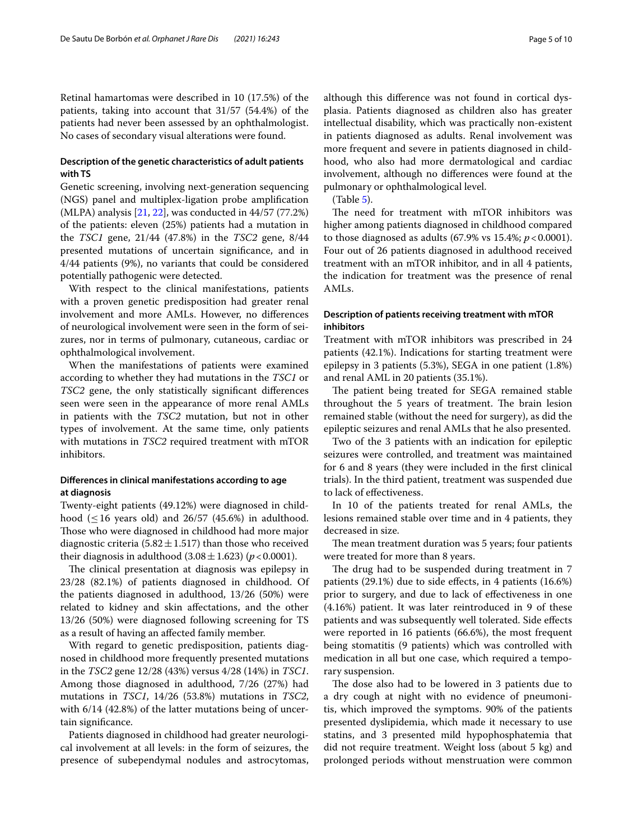Retinal hamartomas were described in 10 (17.5%) of the patients, taking into account that 31/57 (54.4%) of the patients had never been assessed by an ophthalmologist. No cases of secondary visual alterations were found.

# **Description of the genetic characteristics of adult patients with TS**

Genetic screening, involving next-generation sequencing (NGS) panel and multiplex-ligation probe amplifcation (MLPA) analysis [\[21](#page-9-12), [22](#page-9-13)], was conducted in 44/57 (77.2%) of the patients: eleven (25%) patients had a mutation in the *TSC1* gene, 21/44 (47.8%) in the *TSC2* gene, 8/44 presented mutations of uncertain signifcance, and in 4/44 patients (9%), no variants that could be considered potentially pathogenic were detected.

With respect to the clinical manifestations, patients with a proven genetic predisposition had greater renal involvement and more AMLs. However, no diferences of neurological involvement were seen in the form of seizures, nor in terms of pulmonary, cutaneous, cardiac or ophthalmological involvement.

When the manifestations of patients were examined according to whether they had mutations in the *TSC1* or *TSC2* gene, the only statistically signifcant diferences seen were seen in the appearance of more renal AMLs in patients with the *TSC2* mutation, but not in other types of involvement. At the same time, only patients with mutations in *TSC2* required treatment with mTOR inhibitors.

# **Diferences in clinical manifestations according to age at diagnosis**

Twenty-eight patients (49.12%) were diagnosed in childhood ( $\leq$ 16 years old) and 26/57 (45.6%) in adulthood. Those who were diagnosed in childhood had more major diagnostic criteria (5.82 $\pm$ 1.517) than those who received their diagnosis in adulthood  $(3.08 \pm 1.623)$  (*p* < 0.0001).

The clinical presentation at diagnosis was epilepsy in 23/28 (82.1%) of patients diagnosed in childhood. Of the patients diagnosed in adulthood, 13/26 (50%) were related to kidney and skin afectations, and the other 13/26 (50%) were diagnosed following screening for TS as a result of having an afected family member.

With regard to genetic predisposition, patients diagnosed in childhood more frequently presented mutations in the *TSC2* gene 12/28 (43%) versus 4/28 (14%) in *TSC1*. Among those diagnosed in adulthood, 7/26 (27%) had mutations in *TSC1*, 14/26 (53.8%) mutations in *TSC2*, with 6/14 (42.8%) of the latter mutations being of uncertain signifcance.

Patients diagnosed in childhood had greater neurological involvement at all levels: in the form of seizures, the presence of subependymal nodules and astrocytomas, although this diference was not found in cortical dysplasia. Patients diagnosed as children also has greater intellectual disability, which was practically non-existent in patients diagnosed as adults. Renal involvement was more frequent and severe in patients diagnosed in childhood, who also had more dermatological and cardiac involvement, although no diferences were found at the pulmonary or ophthalmological level.

(Table [5\)](#page-5-0).

The need for treatment with mTOR inhibitors was higher among patients diagnosed in childhood compared to those diagnosed as adults (67.9% vs 15.4%; *p*<0.0001). Four out of 26 patients diagnosed in adulthood received treatment with an mTOR inhibitor, and in all 4 patients, the indication for treatment was the presence of renal AMLs.

# **Description of patients receiving treatment with mTOR inhibitors**

Treatment with mTOR inhibitors was prescribed in 24 patients (42.1%). Indications for starting treatment were epilepsy in 3 patients (5.3%), SEGA in one patient (1.8%) and renal AML in 20 patients (35.1%).

The patient being treated for SEGA remained stable throughout the 5 years of treatment. The brain lesion remained stable (without the need for surgery), as did the epileptic seizures and renal AMLs that he also presented.

Two of the 3 patients with an indication for epileptic seizures were controlled, and treatment was maintained for 6 and 8 years (they were included in the frst clinical trials). In the third patient, treatment was suspended due to lack of efectiveness.

In 10 of the patients treated for renal AMLs, the lesions remained stable over time and in 4 patients, they decreased in size.

The mean treatment duration was 5 years; four patients were treated for more than 8 years.

The drug had to be suspended during treatment in 7 patients (29.1%) due to side efects, in 4 patients (16.6%) prior to surgery, and due to lack of efectiveness in one (4.16%) patient. It was later reintroduced in 9 of these patients and was subsequently well tolerated. Side efects were reported in 16 patients (66.6%), the most frequent being stomatitis (9 patients) which was controlled with medication in all but one case, which required a temporary suspension.

The dose also had to be lowered in 3 patients due to a dry cough at night with no evidence of pneumonitis, which improved the symptoms. 90% of the patients presented dyslipidemia, which made it necessary to use statins, and 3 presented mild hypophosphatemia that did not require treatment. Weight loss (about 5 kg) and prolonged periods without menstruation were common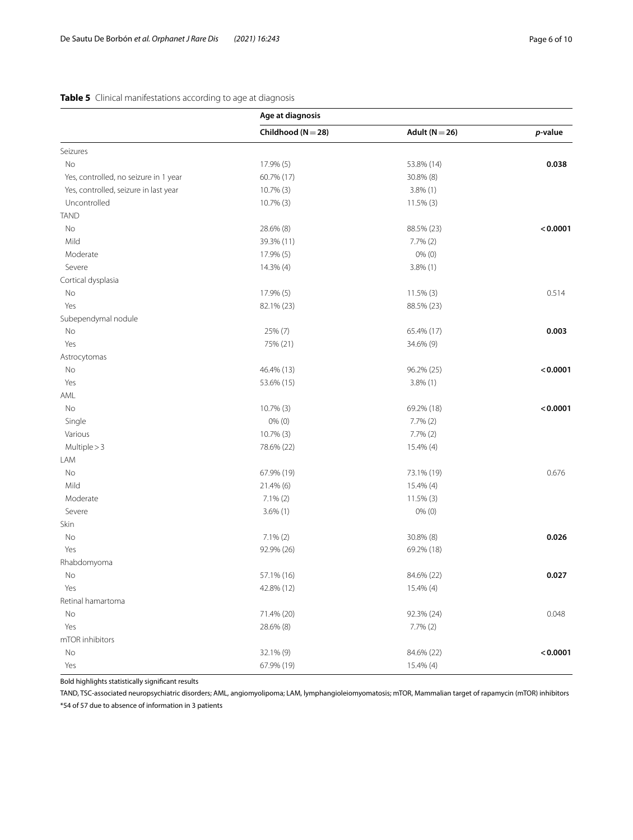# <span id="page-5-0"></span>**Table 5** Clinical manifestations according to age at diagnosis

| Adult ( $N = 26$ )<br>Childhood ( $N = 28$ )<br>p-value<br>Seizures<br>No<br>17.9% (5)<br>53.8% (14)<br>0.038<br>60.7% (17)<br>30.8% (8)<br>Yes, controlled, no seizure in 1 year<br>Yes, controlled, seizure in last year<br>10.7% (3)<br>$3.8\%$ (1)<br>Uncontrolled<br>10.7% (3)<br>$11.5\%$ (3)<br><b>TAND</b><br>No<br>28.6% (8)<br>88.5% (23)<br>Mild<br>39.3% (11)<br>$7.7\%$ $(2)$<br>Moderate<br>$0\%$ (0)<br>17.9% (5)<br>Severe<br>14.3% (4)<br>$3.8\%$ (1)<br>Cortical dysplasia<br>17.9% (5)<br>$11.5\%$ (3)<br>0.514<br>No<br>82.1% (23)<br>88.5% (23)<br>Yes<br>Subependymal nodule<br>0.003<br>No<br>25% (7)<br>65.4% (17)<br>Yes<br>75% (21)<br>34.6% (9)<br>Astrocytomas<br>No<br>46.4% (13)<br>96.2% (25)<br>Yes<br>53.6% (15)<br>$3.8\%$ (1)<br>AML<br>No<br>10.7% (3)<br>69.2% (18)<br>Single<br>$0\%$ (0)<br>$7.7\%$ $(2)$<br>Various<br>10.7% (3)<br>$7.7\%$ $(2)$<br>Multiple > 3<br>78.6% (22)<br>15.4% (4)<br>LAM<br>No<br>67.9% (19)<br>0.676<br>73.1% (19)<br>Mild<br>21.4% (6)<br>15.4% (4)<br>Moderate<br>$7.1\%$ (2)<br>$11.5\%$ (3)<br>Severe<br>$0\%$ (0)<br>$3.6\%$ (1)<br>Skin<br>No<br>$7.1\%$ (2)<br>30.8% (8)<br>0.026<br>Yes<br>92.9% (26)<br>69.2% (18)<br>Rhabdomyoma<br>84.6% (22)<br>0.027<br>No<br>57.1% (16)<br>Yes<br>42.8% (12)<br>15.4% (4)<br>Retinal hamartoma<br>71.4% (20)<br>92.3% (24)<br>0.048<br>No<br>Yes<br>28.6% (8)<br>$7.7\%$ $(2)$<br>mTOR inhibitors<br>32.1% (9)<br>84.6% (22)<br>No<br>Yes | Age at diagnosis |           |          |
|-------------------------------------------------------------------------------------------------------------------------------------------------------------------------------------------------------------------------------------------------------------------------------------------------------------------------------------------------------------------------------------------------------------------------------------------------------------------------------------------------------------------------------------------------------------------------------------------------------------------------------------------------------------------------------------------------------------------------------------------------------------------------------------------------------------------------------------------------------------------------------------------------------------------------------------------------------------------------------------------------------------------------------------------------------------------------------------------------------------------------------------------------------------------------------------------------------------------------------------------------------------------------------------------------------------------------------------------------------------------------------------------------------------------------------------------------------------|------------------|-----------|----------|
|                                                                                                                                                                                                                                                                                                                                                                                                                                                                                                                                                                                                                                                                                                                                                                                                                                                                                                                                                                                                                                                                                                                                                                                                                                                                                                                                                                                                                                                             |                  |           |          |
|                                                                                                                                                                                                                                                                                                                                                                                                                                                                                                                                                                                                                                                                                                                                                                                                                                                                                                                                                                                                                                                                                                                                                                                                                                                                                                                                                                                                                                                             |                  |           |          |
|                                                                                                                                                                                                                                                                                                                                                                                                                                                                                                                                                                                                                                                                                                                                                                                                                                                                                                                                                                                                                                                                                                                                                                                                                                                                                                                                                                                                                                                             |                  |           |          |
|                                                                                                                                                                                                                                                                                                                                                                                                                                                                                                                                                                                                                                                                                                                                                                                                                                                                                                                                                                                                                                                                                                                                                                                                                                                                                                                                                                                                                                                             |                  |           |          |
|                                                                                                                                                                                                                                                                                                                                                                                                                                                                                                                                                                                                                                                                                                                                                                                                                                                                                                                                                                                                                                                                                                                                                                                                                                                                                                                                                                                                                                                             |                  |           |          |
|                                                                                                                                                                                                                                                                                                                                                                                                                                                                                                                                                                                                                                                                                                                                                                                                                                                                                                                                                                                                                                                                                                                                                                                                                                                                                                                                                                                                                                                             |                  |           |          |
|                                                                                                                                                                                                                                                                                                                                                                                                                                                                                                                                                                                                                                                                                                                                                                                                                                                                                                                                                                                                                                                                                                                                                                                                                                                                                                                                                                                                                                                             |                  |           |          |
|                                                                                                                                                                                                                                                                                                                                                                                                                                                                                                                                                                                                                                                                                                                                                                                                                                                                                                                                                                                                                                                                                                                                                                                                                                                                                                                                                                                                                                                             |                  |           | < 0.0001 |
|                                                                                                                                                                                                                                                                                                                                                                                                                                                                                                                                                                                                                                                                                                                                                                                                                                                                                                                                                                                                                                                                                                                                                                                                                                                                                                                                                                                                                                                             |                  |           |          |
|                                                                                                                                                                                                                                                                                                                                                                                                                                                                                                                                                                                                                                                                                                                                                                                                                                                                                                                                                                                                                                                                                                                                                                                                                                                                                                                                                                                                                                                             |                  |           |          |
|                                                                                                                                                                                                                                                                                                                                                                                                                                                                                                                                                                                                                                                                                                                                                                                                                                                                                                                                                                                                                                                                                                                                                                                                                                                                                                                                                                                                                                                             |                  |           |          |
|                                                                                                                                                                                                                                                                                                                                                                                                                                                                                                                                                                                                                                                                                                                                                                                                                                                                                                                                                                                                                                                                                                                                                                                                                                                                                                                                                                                                                                                             |                  |           |          |
|                                                                                                                                                                                                                                                                                                                                                                                                                                                                                                                                                                                                                                                                                                                                                                                                                                                                                                                                                                                                                                                                                                                                                                                                                                                                                                                                                                                                                                                             |                  |           |          |
|                                                                                                                                                                                                                                                                                                                                                                                                                                                                                                                                                                                                                                                                                                                                                                                                                                                                                                                                                                                                                                                                                                                                                                                                                                                                                                                                                                                                                                                             |                  |           |          |
|                                                                                                                                                                                                                                                                                                                                                                                                                                                                                                                                                                                                                                                                                                                                                                                                                                                                                                                                                                                                                                                                                                                                                                                                                                                                                                                                                                                                                                                             |                  |           |          |
|                                                                                                                                                                                                                                                                                                                                                                                                                                                                                                                                                                                                                                                                                                                                                                                                                                                                                                                                                                                                                                                                                                                                                                                                                                                                                                                                                                                                                                                             |                  |           |          |
|                                                                                                                                                                                                                                                                                                                                                                                                                                                                                                                                                                                                                                                                                                                                                                                                                                                                                                                                                                                                                                                                                                                                                                                                                                                                                                                                                                                                                                                             |                  |           |          |
|                                                                                                                                                                                                                                                                                                                                                                                                                                                                                                                                                                                                                                                                                                                                                                                                                                                                                                                                                                                                                                                                                                                                                                                                                                                                                                                                                                                                                                                             |                  |           |          |
|                                                                                                                                                                                                                                                                                                                                                                                                                                                                                                                                                                                                                                                                                                                                                                                                                                                                                                                                                                                                                                                                                                                                                                                                                                                                                                                                                                                                                                                             |                  |           | < 0.0001 |
|                                                                                                                                                                                                                                                                                                                                                                                                                                                                                                                                                                                                                                                                                                                                                                                                                                                                                                                                                                                                                                                                                                                                                                                                                                                                                                                                                                                                                                                             |                  |           |          |
|                                                                                                                                                                                                                                                                                                                                                                                                                                                                                                                                                                                                                                                                                                                                                                                                                                                                                                                                                                                                                                                                                                                                                                                                                                                                                                                                                                                                                                                             |                  |           |          |
|                                                                                                                                                                                                                                                                                                                                                                                                                                                                                                                                                                                                                                                                                                                                                                                                                                                                                                                                                                                                                                                                                                                                                                                                                                                                                                                                                                                                                                                             |                  |           | < 0.0001 |
|                                                                                                                                                                                                                                                                                                                                                                                                                                                                                                                                                                                                                                                                                                                                                                                                                                                                                                                                                                                                                                                                                                                                                                                                                                                                                                                                                                                                                                                             |                  |           |          |
|                                                                                                                                                                                                                                                                                                                                                                                                                                                                                                                                                                                                                                                                                                                                                                                                                                                                                                                                                                                                                                                                                                                                                                                                                                                                                                                                                                                                                                                             |                  |           |          |
|                                                                                                                                                                                                                                                                                                                                                                                                                                                                                                                                                                                                                                                                                                                                                                                                                                                                                                                                                                                                                                                                                                                                                                                                                                                                                                                                                                                                                                                             |                  |           |          |
|                                                                                                                                                                                                                                                                                                                                                                                                                                                                                                                                                                                                                                                                                                                                                                                                                                                                                                                                                                                                                                                                                                                                                                                                                                                                                                                                                                                                                                                             |                  |           |          |
|                                                                                                                                                                                                                                                                                                                                                                                                                                                                                                                                                                                                                                                                                                                                                                                                                                                                                                                                                                                                                                                                                                                                                                                                                                                                                                                                                                                                                                                             |                  |           |          |
|                                                                                                                                                                                                                                                                                                                                                                                                                                                                                                                                                                                                                                                                                                                                                                                                                                                                                                                                                                                                                                                                                                                                                                                                                                                                                                                                                                                                                                                             |                  |           |          |
|                                                                                                                                                                                                                                                                                                                                                                                                                                                                                                                                                                                                                                                                                                                                                                                                                                                                                                                                                                                                                                                                                                                                                                                                                                                                                                                                                                                                                                                             |                  |           |          |
|                                                                                                                                                                                                                                                                                                                                                                                                                                                                                                                                                                                                                                                                                                                                                                                                                                                                                                                                                                                                                                                                                                                                                                                                                                                                                                                                                                                                                                                             |                  |           |          |
|                                                                                                                                                                                                                                                                                                                                                                                                                                                                                                                                                                                                                                                                                                                                                                                                                                                                                                                                                                                                                                                                                                                                                                                                                                                                                                                                                                                                                                                             |                  |           |          |
|                                                                                                                                                                                                                                                                                                                                                                                                                                                                                                                                                                                                                                                                                                                                                                                                                                                                                                                                                                                                                                                                                                                                                                                                                                                                                                                                                                                                                                                             |                  |           |          |
|                                                                                                                                                                                                                                                                                                                                                                                                                                                                                                                                                                                                                                                                                                                                                                                                                                                                                                                                                                                                                                                                                                                                                                                                                                                                                                                                                                                                                                                             |                  |           |          |
|                                                                                                                                                                                                                                                                                                                                                                                                                                                                                                                                                                                                                                                                                                                                                                                                                                                                                                                                                                                                                                                                                                                                                                                                                                                                                                                                                                                                                                                             |                  |           |          |
|                                                                                                                                                                                                                                                                                                                                                                                                                                                                                                                                                                                                                                                                                                                                                                                                                                                                                                                                                                                                                                                                                                                                                                                                                                                                                                                                                                                                                                                             |                  |           |          |
|                                                                                                                                                                                                                                                                                                                                                                                                                                                                                                                                                                                                                                                                                                                                                                                                                                                                                                                                                                                                                                                                                                                                                                                                                                                                                                                                                                                                                                                             |                  |           |          |
|                                                                                                                                                                                                                                                                                                                                                                                                                                                                                                                                                                                                                                                                                                                                                                                                                                                                                                                                                                                                                                                                                                                                                                                                                                                                                                                                                                                                                                                             |                  |           |          |
|                                                                                                                                                                                                                                                                                                                                                                                                                                                                                                                                                                                                                                                                                                                                                                                                                                                                                                                                                                                                                                                                                                                                                                                                                                                                                                                                                                                                                                                             |                  |           |          |
|                                                                                                                                                                                                                                                                                                                                                                                                                                                                                                                                                                                                                                                                                                                                                                                                                                                                                                                                                                                                                                                                                                                                                                                                                                                                                                                                                                                                                                                             |                  |           |          |
|                                                                                                                                                                                                                                                                                                                                                                                                                                                                                                                                                                                                                                                                                                                                                                                                                                                                                                                                                                                                                                                                                                                                                                                                                                                                                                                                                                                                                                                             |                  |           |          |
|                                                                                                                                                                                                                                                                                                                                                                                                                                                                                                                                                                                                                                                                                                                                                                                                                                                                                                                                                                                                                                                                                                                                                                                                                                                                                                                                                                                                                                                             |                  |           | < 0.0001 |
|                                                                                                                                                                                                                                                                                                                                                                                                                                                                                                                                                                                                                                                                                                                                                                                                                                                                                                                                                                                                                                                                                                                                                                                                                                                                                                                                                                                                                                                             | 67.9% (19)       | 15.4% (4) |          |

Bold highlights statistically signifcant results

TAND, TSC-associated neuropsychiatric disorders; AML, angiomyolipoma; LAM, lymphangioleiomyomatosis; mTOR, Mammalian target of rapamycin (mTOR) inhibitors \*54 of 57 due to absence of information in 3 patients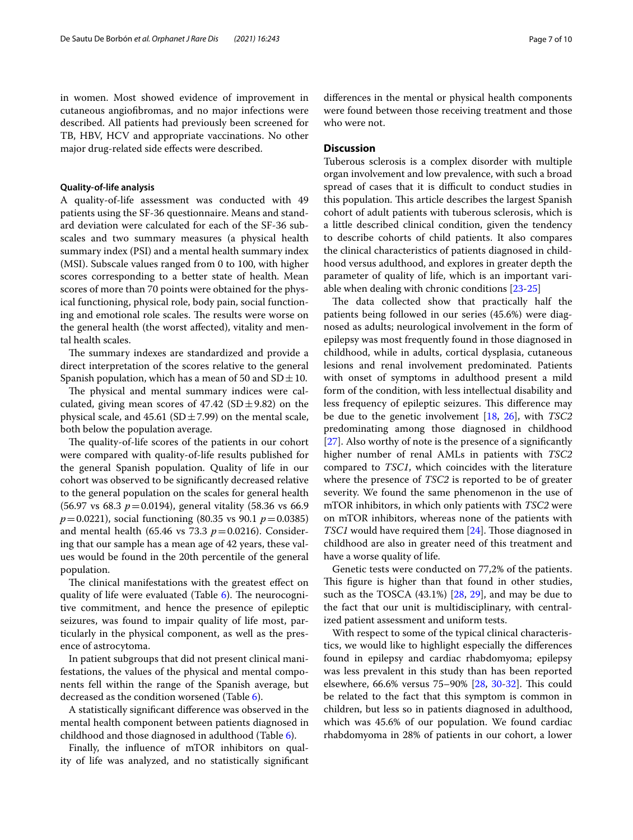in women. Most showed evidence of improvement in cutaneous angiofbromas, and no major infections were described. All patients had previously been screened for TB, HBV, HCV and appropriate vaccinations. No other major drug-related side efects were described.

#### **Quality-of-life analysis**

A quality-of-life assessment was conducted with 49 patients using the SF-36 questionnaire. Means and standard deviation were calculated for each of the SF-36 subscales and two summary measures (a physical health summary index (PSI) and a mental health summary index (MSI). Subscale values ranged from 0 to 100, with higher scores corresponding to a better state of health. Mean scores of more than 70 points were obtained for the physical functioning, physical role, body pain, social functioning and emotional role scales. The results were worse on the general health (the worst afected), vitality and mental health scales.

The summary indexes are standardized and provide a direct interpretation of the scores relative to the general Spanish population, which has a mean of 50 and  $SD \pm 10$ .

The physical and mental summary indices were calculated, giving mean scores of  $47.42$  (SD $\pm$ 9.82) on the physical scale, and  $45.61$  (SD  $\pm$  7.99) on the mental scale, both below the population average.

The quality-of-life scores of the patients in our cohort were compared with quality-of-life results published for the general Spanish population. Quality of life in our cohort was observed to be signifcantly decreased relative to the general population on the scales for general health (56.97 vs 68.3 *p*=0.0194), general vitality (58.36 vs 66.9 *p*=0.0221), social functioning (80.35 vs 90.1 *p*=0.0385) and mental health (65.46 vs 73.3  $p = 0.0216$ ). Considering that our sample has a mean age of 42 years, these values would be found in the 20th percentile of the general population.

The clinical manifestations with the greatest effect on quality of life were evaluated (Table  $6$ ). The neurocognitive commitment, and hence the presence of epileptic seizures, was found to impair quality of life most, particularly in the physical component, as well as the presence of astrocytoma.

In patient subgroups that did not present clinical manifestations, the values of the physical and mental components fell within the range of the Spanish average, but decreased as the condition worsened (Table [6](#page-7-0)).

A statistically signifcant diference was observed in the mental health component between patients diagnosed in childhood and those diagnosed in adulthood (Table [6\)](#page-7-0).

Finally, the infuence of mTOR inhibitors on quality of life was analyzed, and no statistically signifcant diferences in the mental or physical health components were found between those receiving treatment and those who were not.

# **Discussion**

Tuberous sclerosis is a complex disorder with multiple organ involvement and low prevalence, with such a broad spread of cases that it is difficult to conduct studies in this population. This article describes the largest Spanish cohort of adult patients with tuberous sclerosis, which is a little described clinical condition, given the tendency to describe cohorts of child patients. It also compares the clinical characteristics of patients diagnosed in childhood versus adulthood, and explores in greater depth the parameter of quality of life, which is an important variable when dealing with chronic conditions [[23-](#page-9-14)[25](#page-9-15)]

The data collected show that practically half the patients being followed in our series (45.6%) were diagnosed as adults; neurological involvement in the form of epilepsy was most frequently found in those diagnosed in childhood, while in adults, cortical dysplasia, cutaneous lesions and renal involvement predominated. Patients with onset of symptoms in adulthood present a mild form of the condition, with less intellectual disability and less frequency of epileptic seizures. This difference may be due to the genetic involvement [\[18,](#page-9-10) [26\]](#page-9-16), with *TSC2* predominating among those diagnosed in childhood [[27\]](#page-9-17). Also worthy of note is the presence of a signifcantly higher number of renal AMLs in patients with *TSC2* compared to *TSC1*, which coincides with the literature where the presence of *TSC2* is reported to be of greater severity. We found the same phenomenon in the use of mTOR inhibitors, in which only patients with *TSC2* were on mTOR inhibitors, whereas none of the patients with *TSC1* would have required them [\[24](#page-9-18)]. Those diagnosed in childhood are also in greater need of this treatment and have a worse quality of life.

Genetic tests were conducted on 77,2% of the patients. This figure is higher than that found in other studies, such as the TOSCA (43.1%) [\[28,](#page-9-19) [29](#page-9-20)], and may be due to the fact that our unit is multidisciplinary, with centralized patient assessment and uniform tests.

With respect to some of the typical clinical characteristics, we would like to highlight especially the diferences found in epilepsy and cardiac rhabdomyoma; epilepsy was less prevalent in this study than has been reported elsewhere, 66.6% versus 75–90% [[28,](#page-9-19) [30](#page-9-21)[-32\]](#page-9-22). This could be related to the fact that this symptom is common in children, but less so in patients diagnosed in adulthood, which was 45.6% of our population. We found cardiac rhabdomyoma in 28% of patients in our cohort, a lower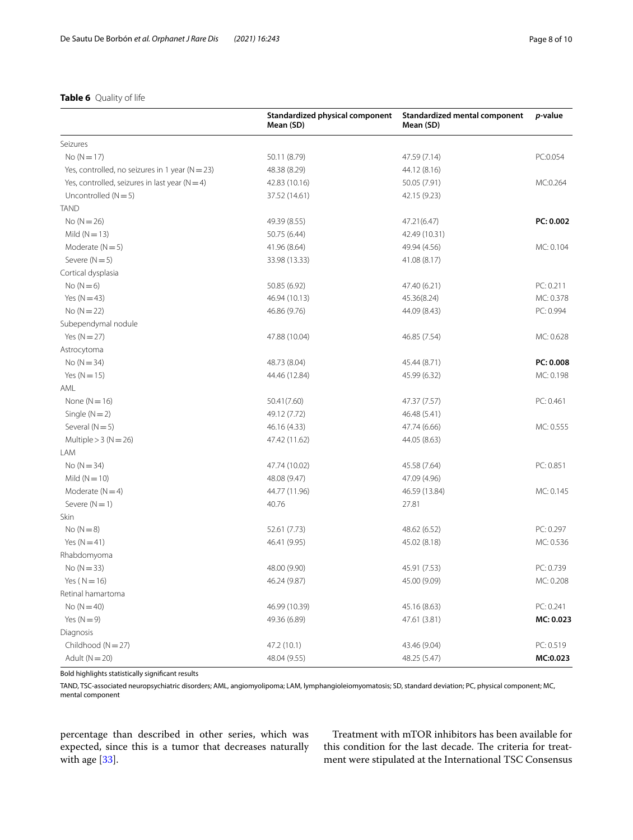# <span id="page-7-0"></span>**Table 6** Quality of life

|                                                     | Standardized physical component<br>Mean (SD) | Standardized mental component<br>Mean (SD) | p-value   |
|-----------------------------------------------------|----------------------------------------------|--------------------------------------------|-----------|
| Seizures                                            |                                              |                                            |           |
| $No(N=17)$                                          | 50.11 (8.79)                                 | 47.59 (7.14)                               | PC:0.054  |
| Yes, controlled, no seizures in 1 year ( $N = 23$ ) | 48.38 (8.29)                                 | 44.12 (8.16)                               |           |
| Yes, controlled, seizures in last year $(N=4)$      | 42.83 (10.16)                                | 50.05 (7.91)                               | MC:0.264  |
| Uncontrolled $(N=5)$                                | 37.52 (14.61)                                | 42.15 (9.23)                               |           |
| <b>TAND</b>                                         |                                              |                                            |           |
| $No (N = 26)$                                       | 49.39 (8.55)                                 | 47.21(6.47)                                | PC: 0.002 |
| Mild $(N = 13)$                                     | 50.75 (6.44)                                 | 42.49 (10.31)                              |           |
| Moderate $(N=5)$                                    | 41.96 (8.64)                                 | 49.94 (4.56)                               | MC: 0.104 |
| Severe $(N=5)$                                      | 33.98 (13.33)                                | 41.08 (8.17)                               |           |
| Cortical dysplasia                                  |                                              |                                            |           |
| $No(N=6)$                                           | 50.85 (6.92)                                 | 47.40 (6.21)                               | PC: 0.211 |
| Yes $(N=43)$                                        | 46.94 (10.13)                                | 45.36(8.24)                                | MC: 0.378 |
| $No (N = 22)$                                       | 46.86 (9.76)                                 | 44.09 (8.43)                               | PC: 0.994 |
| Subependymal nodule                                 |                                              |                                            |           |
| Yes $(N=27)$                                        | 47.88 (10.04)                                | 46.85 (7.54)                               | MC: 0.628 |
| Astrocytoma                                         |                                              |                                            |           |
| $No (N = 34)$                                       | 48.73 (8.04)                                 | 45.44 (8.71)                               | PC: 0.008 |
| Yes $(N = 15)$                                      | 44.46 (12.84)                                | 45.99 (6.32)                               | MC: 0.198 |
| AML                                                 |                                              |                                            |           |
| None $(N=16)$                                       | 50.41(7.60)                                  | 47.37 (7.57)                               | PC: 0.461 |
| Single $(N=2)$                                      | 49.12 (7.72)                                 | 46.48 (5.41)                               |           |
| Several $(N=5)$                                     | 46.16 (4.33)                                 | 47.74 (6.66)                               | MC: 0.555 |
| Multiple $>$ 3 (N = 26)                             | 47.42 (11.62)                                | 44.05 (8.63)                               |           |
| LAM                                                 |                                              |                                            |           |
| $No (N = 34)$                                       | 47.74 (10.02)                                | 45.58 (7.64)                               | PC: 0.851 |
| Mild $(N = 10)$                                     | 48.08 (9.47)                                 | 47.09 (4.96)                               |           |
| Moderate $(N=4)$                                    | 44.77 (11.96)                                | 46.59 (13.84)                              | MC: 0.145 |
| Severe $(N = 1)$                                    | 40.76                                        | 27.81                                      |           |
| Skin                                                |                                              |                                            |           |
| $No (N = 8)$                                        | 52.61 (7.73)                                 | 48.62 (6.52)                               | PC: 0.297 |
| Yes $(N=41)$                                        | 46.41 (9.95)                                 | 45.02 (8.18)                               | MC: 0.536 |
| Rhabdomyoma                                         |                                              |                                            |           |
| $No (N = 33)$                                       | 48.00 (9.90)                                 | 45.91 (7.53)                               | PC: 0.739 |
| Yes $(N = 16)$                                      | 46.24 (9.87)                                 | 45.00 (9.09)                               | MC: 0.208 |
| Retinal hamartoma                                   |                                              |                                            |           |
| $No (N=40)$                                         | 46.99 (10.39)                                | 45.16 (8.63)                               | PC: 0.241 |
| Yes $(N=9)$                                         | 49.36 (6.89)                                 | 47.61 (3.81)                               | MC: 0.023 |
| Diagnosis                                           |                                              |                                            |           |
| Childhood ( $N = 27$ )                              | 47.2 (10.1)                                  | 43.46 (9.04)                               | PC: 0.519 |
| Adult ( $N = 20$ )                                  | 48.04 (9.55)                                 | 48.25 (5.47)                               | MC:0.023  |

Bold highlights statistically signifcant results

TAND, TSC-associated neuropsychiatric disorders; AML, angiomyolipoma; LAM, lymphangioleiomyomatosis; SD, standard deviation; PC, physical component; MC, mental component

percentage than described in other series, which was expected, since this is a tumor that decreases naturally with age [\[33](#page-9-23)].

Treatment with mTOR inhibitors has been available for this condition for the last decade. The criteria for treatment were stipulated at the International TSC Consensus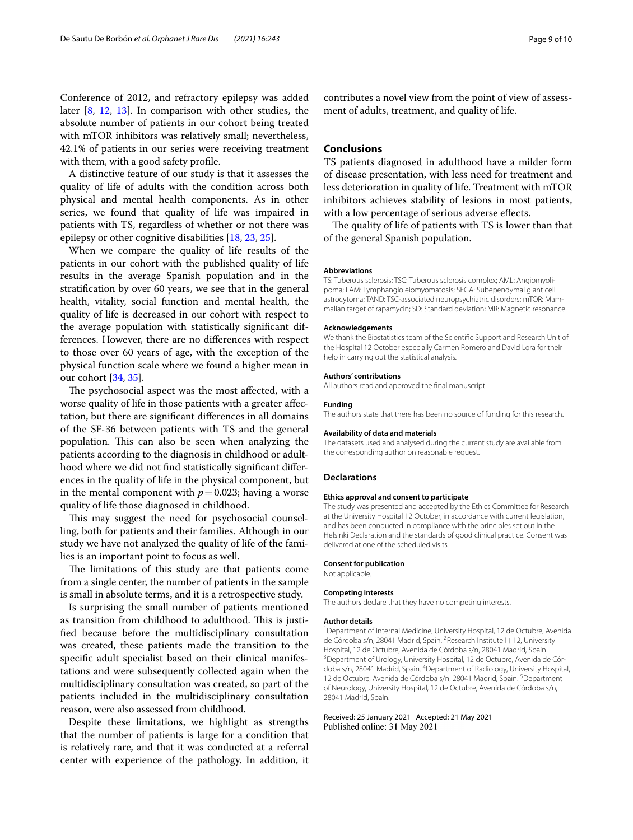Conference of 2012, and refractory epilepsy was added later [\[8](#page-9-5), [12](#page-9-24), [13](#page-9-25)]. In comparison with other studies, the absolute number of patients in our cohort being treated with mTOR inhibitors was relatively small; nevertheless, 42.1% of patients in our series were receiving treatment with them, with a good safety profle.

A distinctive feature of our study is that it assesses the quality of life of adults with the condition across both physical and mental health components. As in other series, we found that quality of life was impaired in patients with TS, regardless of whether or not there was epilepsy or other cognitive disabilities [\[18,](#page-9-10) [23](#page-9-14), [25\]](#page-9-15).

When we compare the quality of life results of the patients in our cohort with the published quality of life results in the average Spanish population and in the stratifcation by over 60 years, we see that in the general health, vitality, social function and mental health, the quality of life is decreased in our cohort with respect to the average population with statistically signifcant differences. However, there are no diferences with respect to those over 60 years of age, with the exception of the physical function scale where we found a higher mean in our cohort [[34,](#page-9-26) [35](#page-9-27)].

The psychosocial aspect was the most affected, with a worse quality of life in those patients with a greater afectation, but there are signifcant diferences in all domains of the SF-36 between patients with TS and the general population. This can also be seen when analyzing the patients according to the diagnosis in childhood or adulthood where we did not fnd statistically signifcant diferences in the quality of life in the physical component, but in the mental component with  $p=0.023$ ; having a worse quality of life those diagnosed in childhood.

This may suggest the need for psychosocial counselling, both for patients and their families. Although in our study we have not analyzed the quality of life of the families is an important point to focus as well.

The limitations of this study are that patients come from a single center, the number of patients in the sample is small in absolute terms, and it is a retrospective study.

Is surprising the small number of patients mentioned as transition from childhood to adulthood. This is justifed because before the multidisciplinary consultation was created, these patients made the transition to the specifc adult specialist based on their clinical manifestations and were subsequently collected again when the multidisciplinary consultation was created, so part of the patients included in the multidisciplinary consultation reason, were also assessed from childhood.

Despite these limitations, we highlight as strengths that the number of patients is large for a condition that is relatively rare, and that it was conducted at a referral center with experience of the pathology. In addition, it

contributes a novel view from the point of view of assessment of adults, treatment, and quality of life.

# **Conclusions**

TS patients diagnosed in adulthood have a milder form of disease presentation, with less need for treatment and less deterioration in quality of life. Treatment with mTOR inhibitors achieves stability of lesions in most patients, with a low percentage of serious adverse efects.

The quality of life of patients with TS is lower than that of the general Spanish population.

#### **Abbreviations**

TS: Tuberous sclerosis; TSC: Tuberous sclerosis complex; AML: Angiomyolipoma; LAM: Lymphangioleiomyomatosis; SEGA: Subependymal giant cell astrocytoma; TAND: TSC-associated neuropsychiatric disorders; mTOR: Mammalian target of rapamycin; SD: Standard deviation; MR: Magnetic resonance.

#### **Acknowledgements**

We thank the Biostatistics team of the Scientifc Support and Research Unit of the Hospital 12 October especially Carmen Romero and David Lora for their help in carrying out the statistical analysis.

#### **Authors' contributions**

All authors read and approved the fnal manuscript.

#### **Funding**

The authors state that there has been no source of funding for this research.

#### **Availability of data and materials**

The datasets used and analysed during the current study are available from the corresponding author on reasonable request.

#### **Declarations**

#### **Ethics approval and consent to participate**

The study was presented and accepted by the Ethics Committee for Research at the University Hospital 12 October, in accordance with current legislation, and has been conducted in compliance with the principles set out in the Helsinki Declaration and the standards of good clinical practice. Consent was delivered at one of the scheduled visits.

#### **Consent for publication**

Not applicable.

#### **Competing interests**

The authors declare that they have no competing interests.

#### **Author details**

<sup>1</sup> Department of Internal Medicine, University Hospital, 12 de Octubre, Avenida de Córdoba s/n, 28041 Madrid, Spain. <sup>2</sup> Research Institute I+12, University Hospital, 12 de Octubre, Avenida de Córdoba s/n, 28041 Madrid, Spain. 3 <sup>3</sup> Department of Urology, University Hospital, 12 de Octubre, Avenida de Córdoba s/n, 28041 Madrid, Spain. <sup>4</sup> Department of Radiology, University Hospital, 12 de Octubre, Avenida de Córdoba s/n, 28041 Madrid, Spain. <sup>5</sup> Department of Neurology, University Hospital, 12 de Octubre, Avenida de Córdoba s/n, 28041 Madrid, Spain.

Received: 25 January 2021 Accepted: 21 May 2021Published online: 31 May 2021